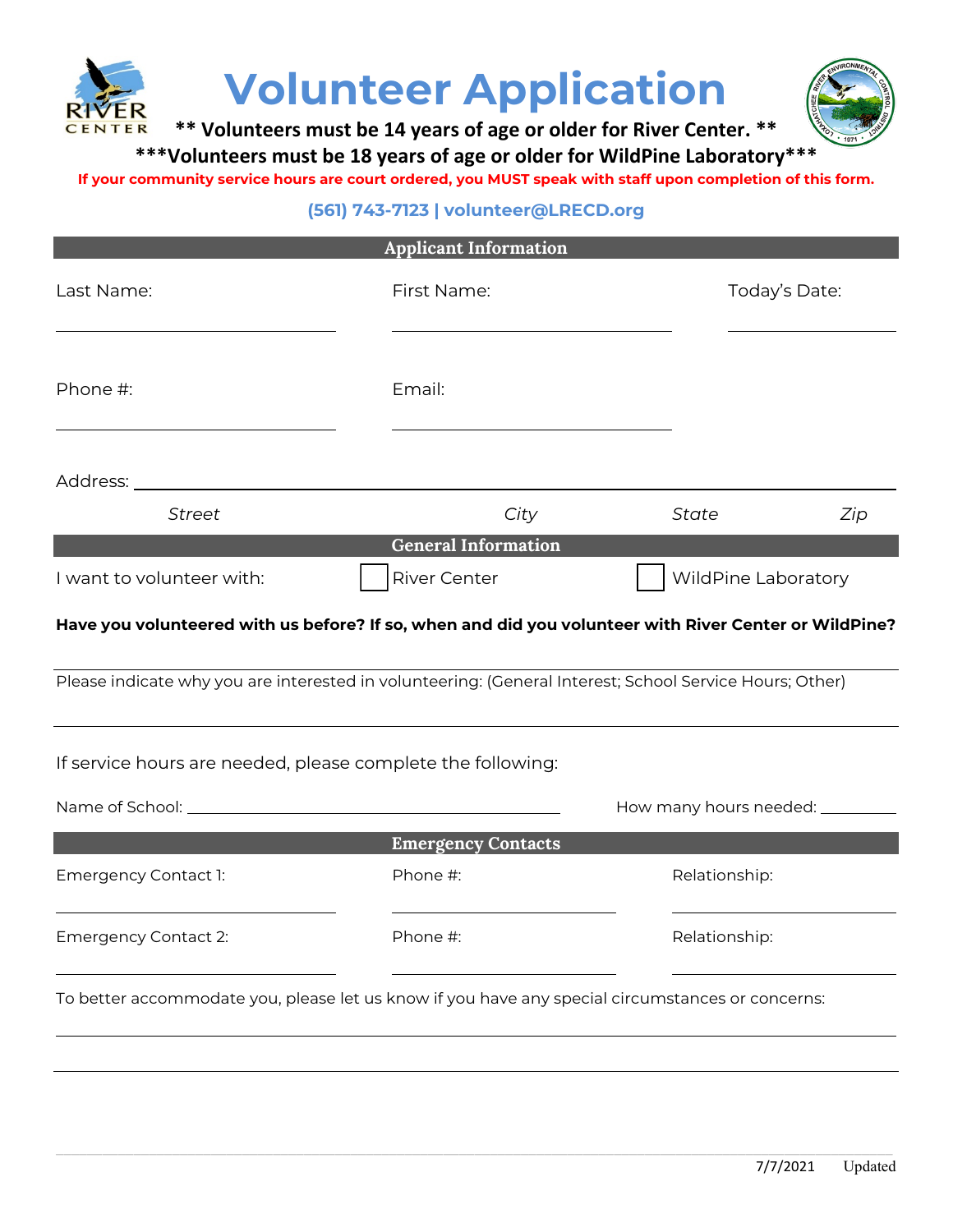



**\*\* Volunteers must be 14 years of age or older for River Center. \*\***

**\*\*\*Volunteers must be 18 years of age or older for WildPine Laboratory\*\*\***

**If your community service hours are court ordered, you MUST speak with staff upon completion of this form.**

## **(561) 743-7123 | volunteer@LRECD.org**

| <b>Applicant Information</b>                                                                            |                            |                              |               |  |  |
|---------------------------------------------------------------------------------------------------------|----------------------------|------------------------------|---------------|--|--|
| Last Name:                                                                                              | First Name:                |                              | Today's Date: |  |  |
| Phone #:                                                                                                | Email:                     |                              |               |  |  |
|                                                                                                         |                            |                              |               |  |  |
| <b>Street</b>                                                                                           | City                       | <b>State</b>                 | Zip           |  |  |
|                                                                                                         | <b>General Information</b> |                              |               |  |  |
| I want to volunteer with:                                                                               | <b>River Center</b>        | WildPine Laboratory          |               |  |  |
| Have you volunteered with us before? If so, when and did you volunteer with River Center or WildPine?   |                            |                              |               |  |  |
| Please indicate why you are interested in volunteering: (General Interest; School Service Hours; Other) |                            |                              |               |  |  |
| If service hours are needed, please complete the following:                                             |                            |                              |               |  |  |
|                                                                                                         |                            | How many hours needed: _____ |               |  |  |
|                                                                                                         | <b>Emergency Contacts</b>  |                              |               |  |  |
| Emergency Contact 1:                                                                                    | Phone #:                   | Relationship:                |               |  |  |
| <b>Emergency Contact 2:</b>                                                                             | Phone #:                   | Relationship:                |               |  |  |
| To better accommodate you, please let us know if you have any special circumstances or concerns:        |                            |                              |               |  |  |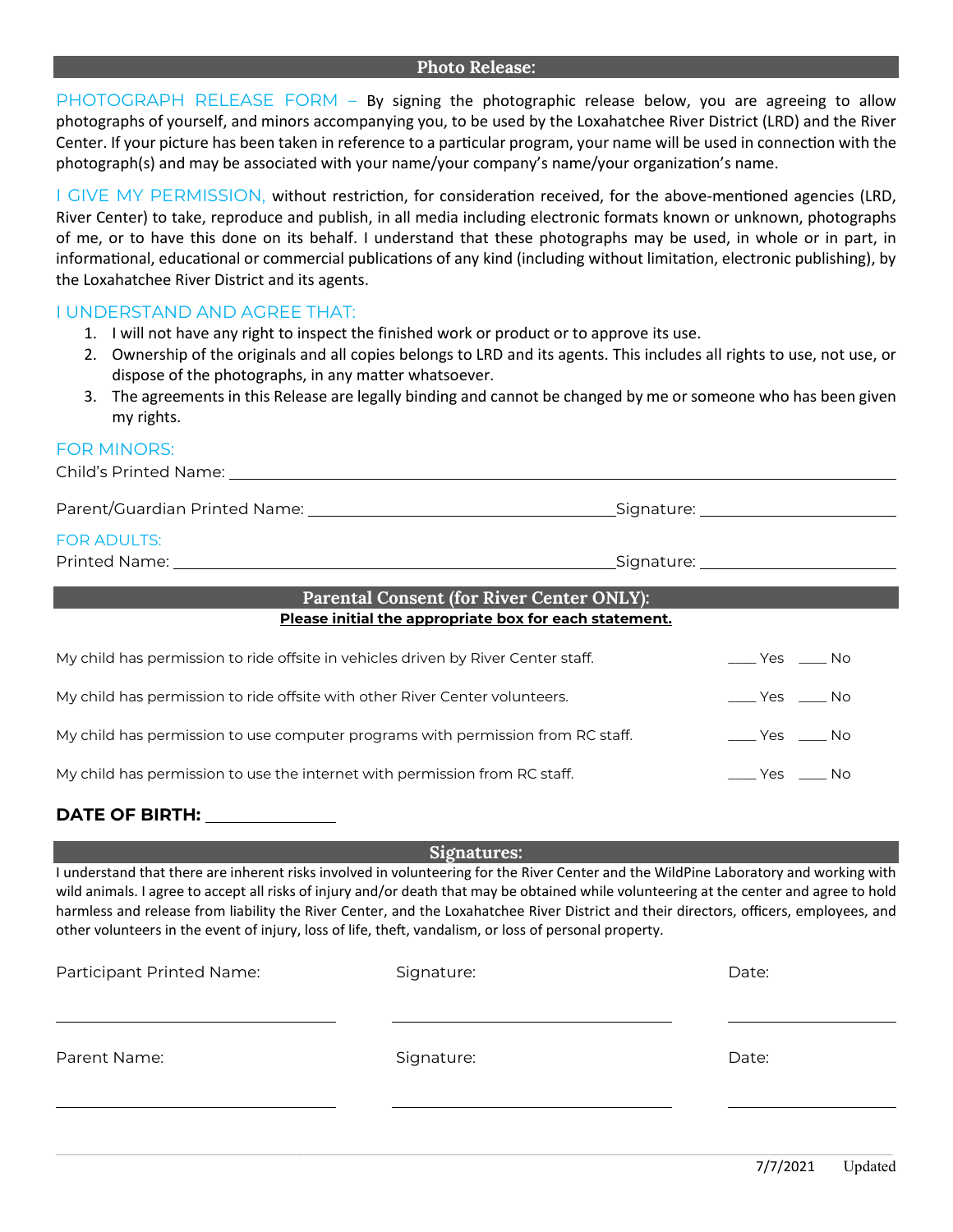## **Photo Release:**

PHOTOGRAPH RELEASE FORM - By signing the photographic release below, you are agreeing to allow photographs of yourself, and minors accompanying you, to be used by the Loxahatchee River District (LRD) and the River Center. If your picture has been taken in reference to a particular program, your name will be used in connection with the photograph(s) and may be associated with your name/your company's name/your organization's name.

I GIVE MY PERMISSION, without restriction, for consideration received, for the above-mentioned agencies (LRD, River Center) to take, reproduce and publish, in all media including electronic formats known or unknown, photographs of me, or to have this done on its behalf. I understand that these photographs may be used, in whole or in part, in informational, educational or commercial publications of any kind (including without limitation, electronic publishing), by the Loxahatchee River District and its agents.

## I UNDERSTAND AND AGREE THAT:

- 1. I will not have any right to inspect the finished work or product or to approve its use.
- 2. Ownership of the originals and all copies belongs to LRD and its agents. This includes all rights to use, not use, or dispose of the photographs, in any matter whatsoever.
- 3. The agreements in this Release are legally binding and cannot be changed by me or someone who has been given my rights.

## FOR MINORS:

| <b>FOR ADULTS:</b>                                                                |                                                  |  |  |  |  |
|-----------------------------------------------------------------------------------|--------------------------------------------------|--|--|--|--|
| <b>Parental Consent (for River Center ONLY):</b>                                  |                                                  |  |  |  |  |
| Please initial the appropriate box for each statement.                            |                                                  |  |  |  |  |
| My child has permission to ride offsite in vehicles driven by River Center staff. | Yes No                                           |  |  |  |  |
| My child has permission to ride offsite with other River Center volunteers.       | ____ Yes _____ No                                |  |  |  |  |
| My child has permission to use computer programs with permission from RC staff.   | $\rule{1em}{0.15mm}$ Yes $\rule{1em}{0.15mm}$ No |  |  |  |  |

My child has permission to use the internet with permission from RC staff. \_\_\_\_\_\_\_\_\_\_\_\_\_\_\_\_\_\_\_\_\_\_\_\_\_\_\_\_\_\_\_\_\_\_No

## **DATE OF BIRTH:**

**Signatures:** 

I understand that there are inherent risks involved in volunteering for the River Center and the WildPine Laboratory and working with wild animals. I agree to accept all risks of injury and/or death that may be obtained while volunteering at the center and agree to hold harmless and release from liability the River Center, and the Loxahatchee River District and their directors, officers, employees, and other volunteers in the event of injury, loss of life, theft, vandalism, or loss of personal property.

| Participant Printed Name: | Signature: | Date: |  |
|---------------------------|------------|-------|--|
| Parent Name:              | Signature: | Date: |  |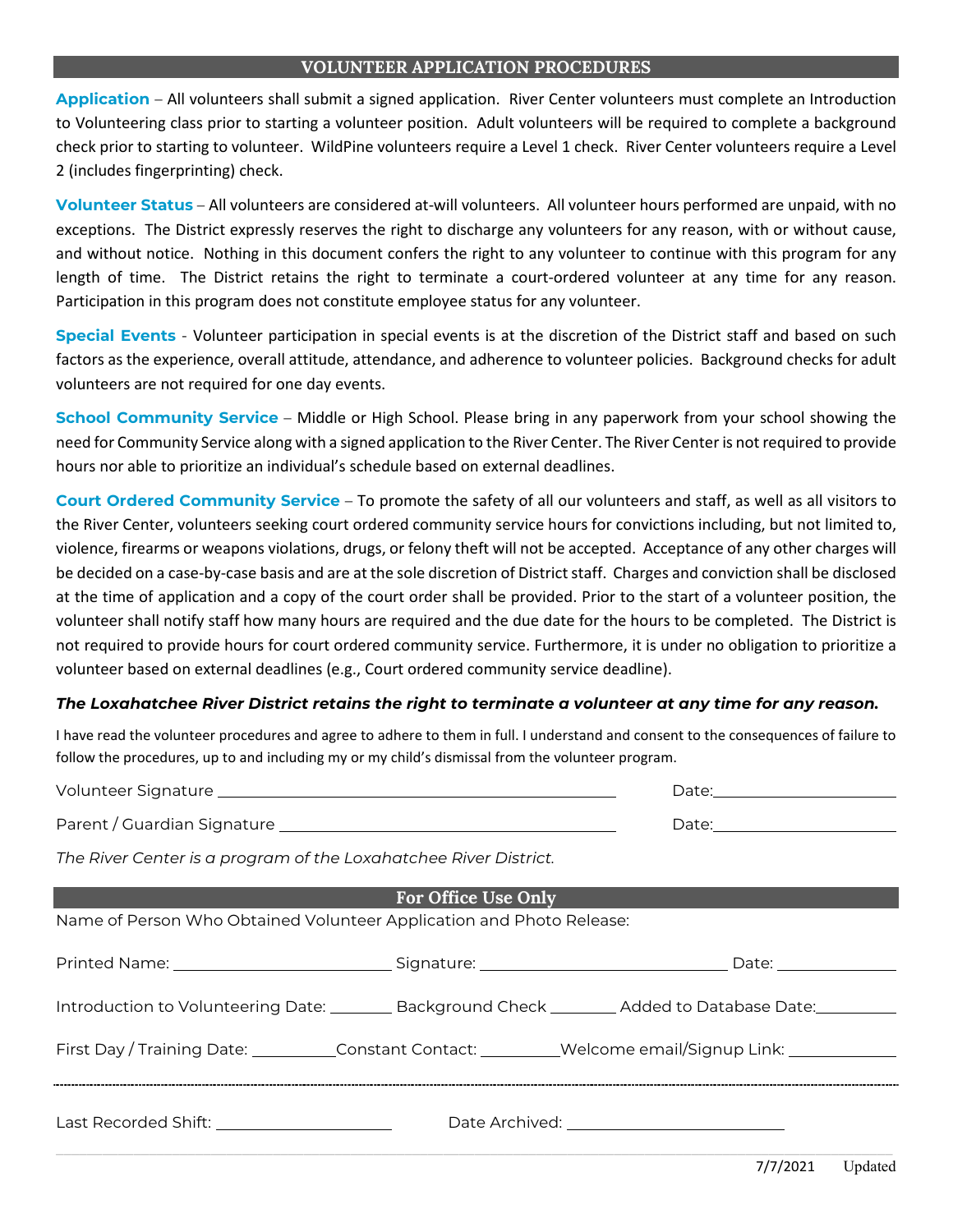## **VOLUNTEER APPLICATION PROCEDURES**

**Application** – All volunteers shall submit a signed application. River Center volunteers must complete an Introduction to Volunteering class prior to starting a volunteer position. Adult volunteers will be required to complete a background check prior to starting to volunteer. WildPine volunteers require a Level 1 check. River Center volunteers require a Level 2 (includes fingerprinting) check.

**Volunteer Status** – All volunteers are considered at-will volunteers. All volunteer hours performed are unpaid, with no exceptions. The District expressly reserves the right to discharge any volunteers for any reason, with or without cause, and without notice. Nothing in this document confers the right to any volunteer to continue with this program for any length of time. The District retains the right to terminate a court-ordered volunteer at any time for any reason. Participation in this program does not constitute employee status for any volunteer.

**Special Events** - Volunteer participation in special events is at the discretion of the District staff and based on such factors as the experience, overall attitude, attendance, and adherence to volunteer policies. Background checks for adult volunteers are not required for one day events.

**School Community Service** – Middle or High School. Please bring in any paperwork from your school showing the need for Community Service along with a signed application to the River Center. The River Center is not required to provide hours nor able to prioritize an individual's schedule based on external deadlines.

**Court Ordered Community Service** – To promote the safety of all our volunteers and staff, as well as all visitors to the River Center, volunteers seeking court ordered community service hours for convictions including, but not limited to, violence, firearms or weapons violations, drugs, or felony theft will not be accepted. Acceptance of any other charges will be decided on a case-by-case basis and are at the sole discretion of District staff. Charges and conviction shall be disclosed at the time of application and a copy of the court order shall be provided. Prior to the start of a volunteer position, the volunteer shall notify staff how many hours are required and the due date for the hours to be completed. The District is not required to provide hours for court ordered community service. Furthermore, it is under no obligation to prioritize a volunteer based on external deadlines (e.g., Court ordered community service deadline).

## *The Loxahatchee River District retains the right to terminate a volunteer at any time for any reason.*

I have read the volunteer procedures and agree to adhere to them in full. I understand and consent to the consequences of failure to follow the procedures, up to and including my or my child's dismissal from the volunteer program.

|                                                                                                           |                     | Date: 2008 |  |  |  |
|-----------------------------------------------------------------------------------------------------------|---------------------|------------|--|--|--|
| The River Center is a program of the Loxahatchee River District.                                          |                     |            |  |  |  |
|                                                                                                           | For Office Use Only |            |  |  |  |
| Name of Person Who Obtained Volunteer Application and Photo Release:                                      |                     |            |  |  |  |
|                                                                                                           |                     |            |  |  |  |
| Introduction to Volunteering Date: _________ Background Check ________ Added to Database Date: __________ |                     |            |  |  |  |
| First Day / Training Date: __________Constant Contact: _________Welcome email/Signup Link: ______________ |                     |            |  |  |  |
| Last Recorded Shift: _________________________                                                            |                     |            |  |  |  |